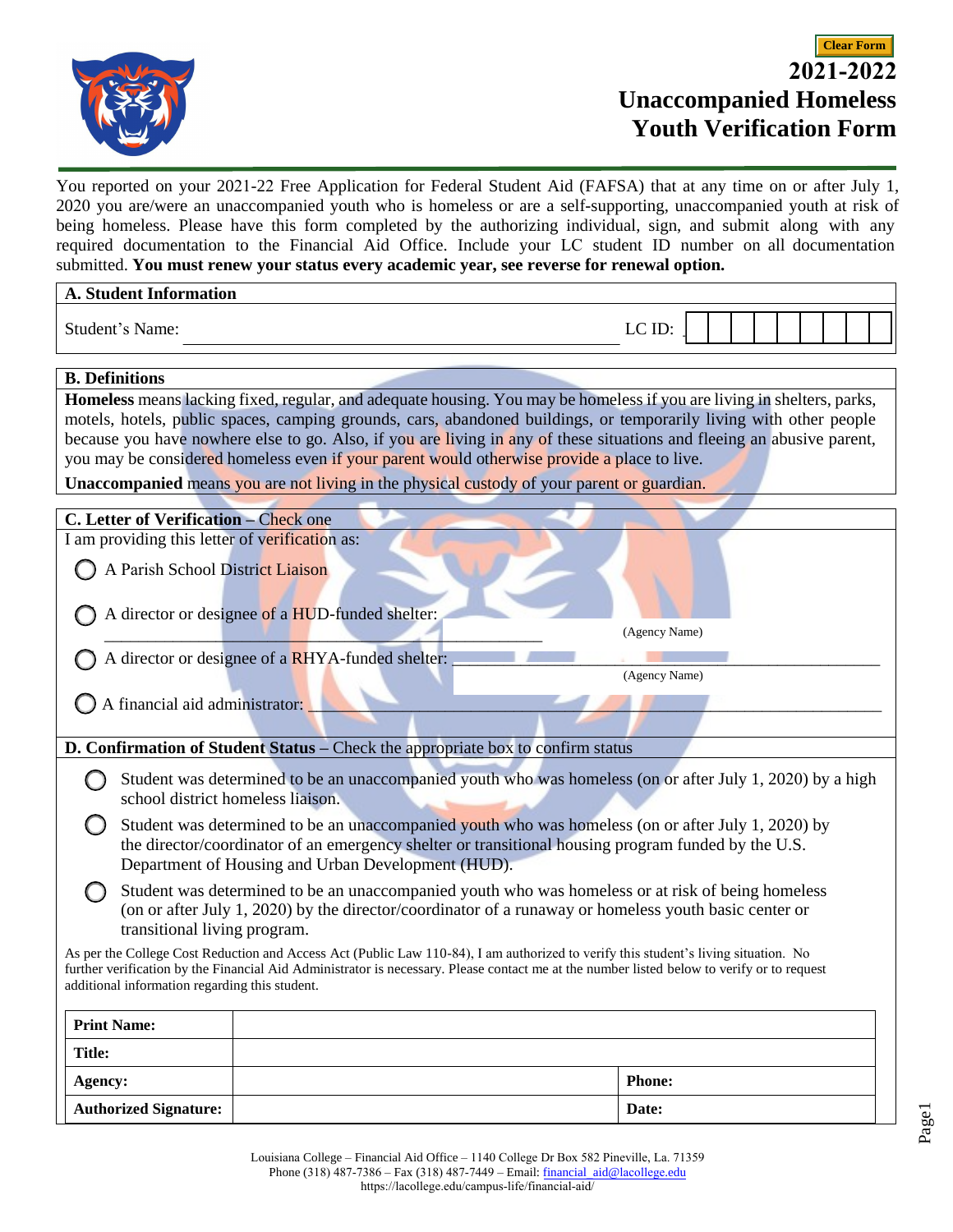

You reported on your 2021-22 Free Application for Federal Student Aid (FAFSA) that at any time on or after July 1, 2020 you are/were an unaccompanied youth who is homeless or are a self-supporting, unaccompanied youth at risk of being homeless. Please have this form completed by the authorizing individual, sign, and submit along with any required documentation to the Financial Aid Office. Include your LC student ID number on all documentation submitted. **You must renew your status every academic year, see reverse for renewal option.** 

| <b>A. Student Information</b>                                                                                                                                                                                                                                                     |                                                                   |        |  |  |  |  |  |  |
|-----------------------------------------------------------------------------------------------------------------------------------------------------------------------------------------------------------------------------------------------------------------------------------|-------------------------------------------------------------------|--------|--|--|--|--|--|--|
| Student's Name:                                                                                                                                                                                                                                                                   |                                                                   | LC ID: |  |  |  |  |  |  |
| <b>B.</b> Definitions                                                                                                                                                                                                                                                             |                                                                   |        |  |  |  |  |  |  |
| <b>Homeless</b> means lacking fixed, regular, and adequate housing. You may be homeless if you are living in shelters, parks,                                                                                                                                                     |                                                                   |        |  |  |  |  |  |  |
| motels, hotels, public spaces, camping grounds, cars, abandoned buildings, or temporarily living with other people                                                                                                                                                                |                                                                   |        |  |  |  |  |  |  |
| because you have nowhere else to go. Also, if you are living in any of these situations and fleeing an abusive parent,                                                                                                                                                            |                                                                   |        |  |  |  |  |  |  |
| you may be considered homeless even if your parent would otherwise provide a place to live.                                                                                                                                                                                       |                                                                   |        |  |  |  |  |  |  |
| Unaccompanied means you are not living in the physical custody of your parent or guardian.                                                                                                                                                                                        |                                                                   |        |  |  |  |  |  |  |
| C. Letter of Verification - Check one                                                                                                                                                                                                                                             |                                                                   |        |  |  |  |  |  |  |
| I am providing this letter of verification as:                                                                                                                                                                                                                                    |                                                                   |        |  |  |  |  |  |  |
|                                                                                                                                                                                                                                                                                   |                                                                   |        |  |  |  |  |  |  |
| A Parish School District Liaison                                                                                                                                                                                                                                                  |                                                                   |        |  |  |  |  |  |  |
|                                                                                                                                                                                                                                                                                   |                                                                   |        |  |  |  |  |  |  |
| A director or designee of a HUD-funded shelter:<br>(Agency Name)                                                                                                                                                                                                                  |                                                                   |        |  |  |  |  |  |  |
|                                                                                                                                                                                                                                                                                   |                                                                   |        |  |  |  |  |  |  |
|                                                                                                                                                                                                                                                                                   | A director or designee of a RHYA-funded shelter:<br>(Agency Name) |        |  |  |  |  |  |  |
|                                                                                                                                                                                                                                                                                   |                                                                   |        |  |  |  |  |  |  |
| A financial aid administrator:                                                                                                                                                                                                                                                    |                                                                   |        |  |  |  |  |  |  |
|                                                                                                                                                                                                                                                                                   |                                                                   |        |  |  |  |  |  |  |
| D. Confirmation of Student Status - Check the appropriate box to confirm status                                                                                                                                                                                                   |                                                                   |        |  |  |  |  |  |  |
| Student was determined to be an unaccompanied youth who was homeless (on or after July 1, 2020) by a high<br>school district homeless liaison.                                                                                                                                    |                                                                   |        |  |  |  |  |  |  |
| Student was determined to be an unaccompanied youth who was homeless (on or after July 1, 2020) by                                                                                                                                                                                |                                                                   |        |  |  |  |  |  |  |
| the director/coordinator of an emergency shelter or transitional housing program funded by the U.S.                                                                                                                                                                               |                                                                   |        |  |  |  |  |  |  |
| Department of Housing and Urban Development (HUD).                                                                                                                                                                                                                                |                                                                   |        |  |  |  |  |  |  |
| Student was determined to be an unaccompanied youth who was homeless or at risk of being homeless                                                                                                                                                                                 |                                                                   |        |  |  |  |  |  |  |
| (on or after July 1, 2020) by the director/coordinator of a runaway or homeless youth basic center or                                                                                                                                                                             |                                                                   |        |  |  |  |  |  |  |
| transitional living program.                                                                                                                                                                                                                                                      |                                                                   |        |  |  |  |  |  |  |
| As per the College Cost Reduction and Access Act (Public Law 110-84), I am authorized to verify this student's living situation. No<br>further verification by the Financial Aid Administrator is necessary. Please contact me at the number listed below to verify or to request |                                                                   |        |  |  |  |  |  |  |
| additional information regarding this student.                                                                                                                                                                                                                                    |                                                                   |        |  |  |  |  |  |  |
|                                                                                                                                                                                                                                                                                   |                                                                   |        |  |  |  |  |  |  |
| <b>Print Name:</b>                                                                                                                                                                                                                                                                |                                                                   |        |  |  |  |  |  |  |
| <b>Title:</b>                                                                                                                                                                                                                                                                     |                                                                   |        |  |  |  |  |  |  |
| Agency:                                                                                                                                                                                                                                                                           | <b>Phone:</b>                                                     |        |  |  |  |  |  |  |
| <b>Authorized Signature:</b>                                                                                                                                                                                                                                                      | Date:                                                             |        |  |  |  |  |  |  |